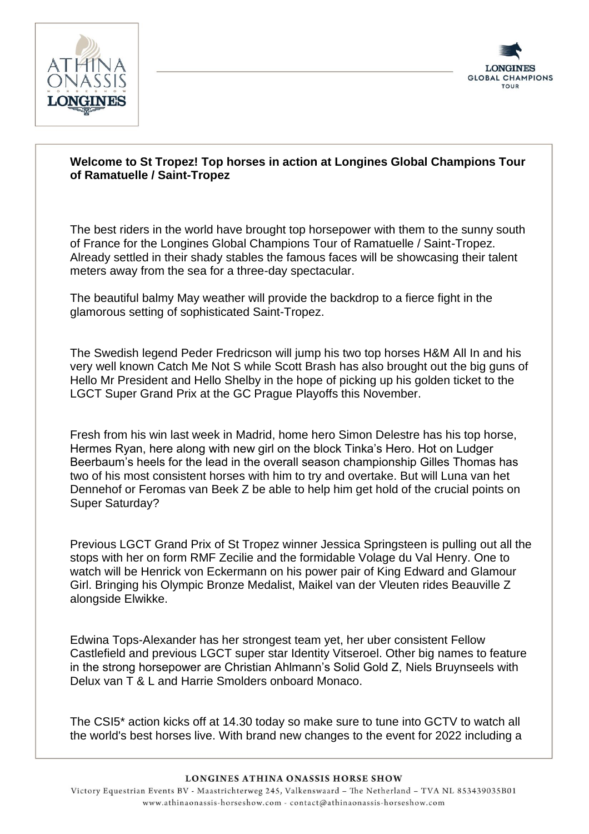



## **Welcome to St Tropez! Top horses in action at Longines Global Champions Tour of Ramatuelle / Saint-Tropez**

The best riders in the world have brought top horsepower with them to the sunny south of France for the Longines Global Champions Tour of Ramatuelle / Saint-Tropez. Already settled in their shady stables the famous faces will be showcasing their talent meters away from the sea for a three-day spectacular.

The beautiful balmy May weather will provide the backdrop to a fierce fight in the glamorous setting of sophisticated Saint-Tropez.

The Swedish legend Peder Fredricson will jump his two top horses H&M All In and his very well known Catch Me Not S while Scott Brash has also brought out the big guns of Hello Mr President and Hello Shelby in the hope of picking up his golden ticket to the LGCT Super Grand Prix at the GC Prague Playoffs this November.

Fresh from his win last week in Madrid, home hero Simon Delestre has his top horse, Hermes Ryan, here along with new girl on the block Tinka's Hero. Hot on Ludger Beerbaum's heels for the lead in the overall season championship Gilles Thomas has two of his most consistent horses with him to try and overtake. But will Luna van het Dennehof or Feromas van Beek Z be able to help him get hold of the crucial points on Super Saturday?

Previous LGCT Grand Prix of St Tropez winner Jessica Springsteen is pulling out all the stops with her on form RMF Zecilie and the formidable Volage du Val Henry. One to watch will be Henrick von Eckermann on his power pair of King Edward and Glamour Girl. Bringing his Olympic Bronze Medalist, Maikel van der Vleuten rides Beauville Z alongside Elwikke.

Edwina Tops-Alexander has her strongest team yet, her uber consistent Fellow Castlefield and previous LGCT super star Identity Vitseroel. Other big names to feature in the strong horsepower are Christian Ahlmann's Solid Gold Z, Niels Bruynseels with Delux van T & L and Harrie Smolders onboard Monaco.

The CSI5\* action kicks off at 14.30 today so make sure to tune into GCTV to watch all the world's best horses live. With brand new changes to the event for 2022 including a

## **LONGINES ATHINA ONASSIS HORSE SHOW**

Victory Equestrian Events BV - Maastrichterweg 245, Valkenswaard - The Netherland - TVA NL 853439035B01 www.athinaonassis-horseshow.com - contact@athinaonassis-horseshow.com